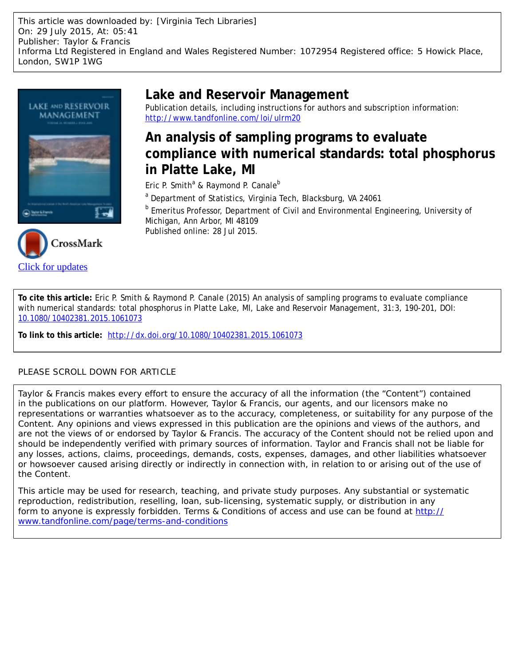This article was downloaded by: [Virginia Tech Libraries] On: 29 July 2015, At: 05:41 Publisher: Taylor & Francis Informa Ltd Registered in England and Wales Registered Number: 1072954 Registered office: 5 Howick Place, London, SW1P 1WG





# **Lake and Reservoir Management**

Publication details, including instructions for authors and subscription information: <http://www.tandfonline.com/loi/ulrm20>

# **An analysis of sampling programs to evaluate compliance with numerical standards: total phosphorus in Platte Lake, MI**

Eric P. Smith<sup>a</sup> & Raymond P. Canale<sup>b</sup>

<sup>a</sup> Department of Statistics, Virginia Tech, Blacksburg, VA 24061

**b** Emeritus Professor, Department of Civil and Environmental Engineering, University of Michigan, Ann Arbor, MI 48109 Published online: 28 Jul 2015.

**To cite this article:** Eric P. Smith & Raymond P. Canale (2015) An analysis of sampling programs to evaluate compliance with numerical standards: total phosphorus in Platte Lake, MI, Lake and Reservoir Management, 31:3, 190-201, DOI: [10.1080/10402381.2015.1061073](http://www.tandfonline.com/action/showCitFormats?doi=10.1080/10402381.2015.1061073)

**To link to this article:** <http://dx.doi.org/10.1080/10402381.2015.1061073>

## PLEASE SCROLL DOWN FOR ARTICLE

Taylor & Francis makes every effort to ensure the accuracy of all the information (the "Content") contained in the publications on our platform. However, Taylor & Francis, our agents, and our licensors make no representations or warranties whatsoever as to the accuracy, completeness, or suitability for any purpose of the Content. Any opinions and views expressed in this publication are the opinions and views of the authors, and are not the views of or endorsed by Taylor & Francis. The accuracy of the Content should not be relied upon and should be independently verified with primary sources of information. Taylor and Francis shall not be liable for any losses, actions, claims, proceedings, demands, costs, expenses, damages, and other liabilities whatsoever or howsoever caused arising directly or indirectly in connection with, in relation to or arising out of the use of the Content.

This article may be used for research, teaching, and private study purposes. Any substantial or systematic reproduction, redistribution, reselling, loan, sub-licensing, systematic supply, or distribution in any form to anyone is expressly forbidden. Terms & Conditions of access and use can be found at [http://](http://www.tandfonline.com/page/terms-and-conditions) [www.tandfonline.com/page/terms-and-conditions](http://www.tandfonline.com/page/terms-and-conditions)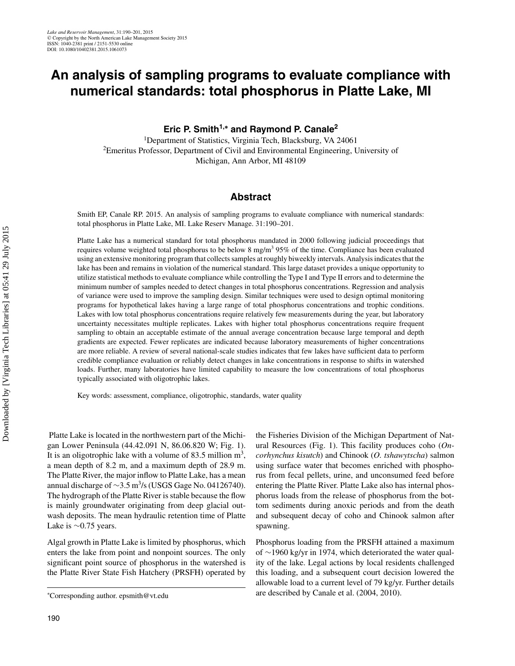# **An analysis of sampling programs to evaluate compliance with numerical standards: total phosphorus in Platte Lake, MI**

**Eric P. Smith1,<sup>∗</sup> and Raymond P. Canale<sup>2</sup>**

<sup>1</sup>Department of Statistics, Virginia Tech, Blacksburg, VA 24061 <sup>2</sup>Emeritus Professor, Department of Civil and Environmental Engineering, University of Michigan, Ann Arbor, MI 48109

## **Abstract**

Smith EP, Canale RP. 2015. An analysis of sampling programs to evaluate compliance with numerical standards: total phosphorus in Platte Lake, MI. Lake Reserv Manage. 31:190–201.

Platte Lake has a numerical standard for total phosphorus mandated in 2000 following judicial proceedings that requires volume weighted total phosphorus to be below 8 mg/m<sup>3</sup> 95% of the time. Compliance has been evaluated using an extensive monitoring program that collects samples at roughly biweekly intervals. Analysis indicates that the lake has been and remains in violation of the numerical standard. This large dataset provides a unique opportunity to utilize statistical methods to evaluate compliance while controlling the Type I and Type II errors and to determine the minimum number of samples needed to detect changes in total phosphorus concentrations. Regression and analysis of variance were used to improve the sampling design. Similar techniques were used to design optimal monitoring programs for hypothetical lakes having a large range of total phosphorus concentrations and trophic conditions. Lakes with low total phosphorus concentrations require relatively few measurements during the year, but laboratory uncertainty necessitates multiple replicates. Lakes with higher total phosphorus concentrations require frequent sampling to obtain an acceptable estimate of the annual average concentration because large temporal and depth gradients are expected. Fewer replicates are indicated because laboratory measurements of higher concentrations are more reliable. A review of several national-scale studies indicates that few lakes have sufficient data to perform credible compliance evaluation or reliably detect changes in lake concentrations in response to shifts in watershed loads. Further, many laboratories have limited capability to measure the low concentrations of total phosphorus typically associated with oligotrophic lakes.

Key words: assessment, compliance, oligotrophic, standards, water quality

Platte Lake is located in the northwestern part of the Michigan Lower Peninsula (44.42.091 N, 86.06.820 W; Fig. 1). It is an oligotrophic lake with a volume of 83.5 million  $m<sup>3</sup>$ , a mean depth of 8.2 m, and a maximum depth of 28.9 m. The Platte River, the major inflow to Platte Lake, has a mean annual discharge of  $\sim$ 3.5 m<sup>3</sup>/s (USGS Gage No. 04126740). The hydrograph of the Platte River is stable because the flow is mainly groundwater originating from deep glacial outwash deposits. The mean hydraulic retention time of Platte Lake is ∼0.75 years.

Algal growth in Platte Lake is limited by phosphorus, which enters the lake from point and nonpoint sources. The only significant point source of phosphorus in the watershed is the Platte River State Fish Hatchery (PRSFH) operated by

the Fisheries Division of the Michigan Department of Natural Resources (Fig. 1). This facility produces coho (*Oncorhynchus kisutch*) and Chinook (*O. tshawytscha*) salmon using surface water that becomes enriched with phosphorus from fecal pellets, urine, and unconsumed feed before entering the Platte River. Platte Lake also has internal phosphorus loads from the release of phosphorus from the bottom sediments during anoxic periods and from the death and subsequent decay of coho and Chinook salmon after spawning.

Phosphorus loading from the PRSFH attained a maximum of ∼1960 kg/yr in 1974, which deteriorated the water quality of the lake. Legal actions by local residents challenged this loading, and a subsequent court decision lowered the allowable load to a current level of 79 kg/yr. Further details are described by Canale et al. (2004, 2010).

<sup>∗</sup> Corresponding author. epsmith@vt.edu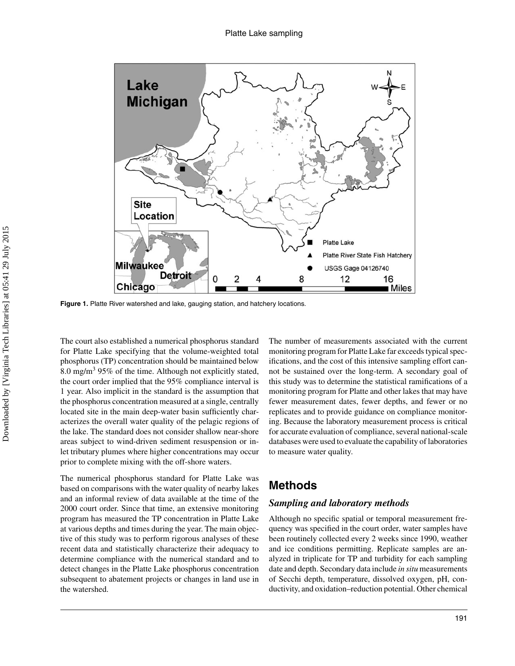

**Figure 1.** Platte River watershed and lake, gauging station, and hatchery locations.

The court also established a numerical phosphorus standard for Platte Lake specifying that the volume-weighted total phosphorus (TP) concentration should be maintained below 8.0 mg/m3 95% of the time. Although not explicitly stated, the court order implied that the 95% compliance interval is 1 year. Also implicit in the standard is the assumption that the phosphorus concentration measured at a single, centrally located site in the main deep-water basin sufficiently characterizes the overall water quality of the pelagic regions of the lake. The standard does not consider shallow near-shore areas subject to wind-driven sediment resuspension or inlet tributary plumes where higher concentrations may occur prior to complete mixing with the off-shore waters.

The numerical phosphorus standard for Platte Lake was based on comparisons with the water quality of nearby lakes and an informal review of data available at the time of the 2000 court order. Since that time, an extensive monitoring program has measured the TP concentration in Platte Lake at various depths and times during the year. The main objective of this study was to perform rigorous analyses of these recent data and statistically characterize their adequacy to determine compliance with the numerical standard and to detect changes in the Platte Lake phosphorus concentration subsequent to abatement projects or changes in land use in the watershed.

The number of measurements associated with the current monitoring program for Platte Lake far exceeds typical specifications, and the cost of this intensive sampling effort cannot be sustained over the long-term. A secondary goal of this study was to determine the statistical ramifications of a monitoring program for Platte and other lakes that may have fewer measurement dates, fewer depths, and fewer or no replicates and to provide guidance on compliance monitoring. Because the laboratory measurement process is critical for accurate evaluation of compliance, several national-scale databases were used to evaluate the capability of laboratories to measure water quality.

## **Methods**

#### *Sampling and laboratory methods*

Although no specific spatial or temporal measurement frequency was specified in the court order, water samples have been routinely collected every 2 weeks since 1990, weather and ice conditions permitting. Replicate samples are analyzed in triplicate for TP and turbidity for each sampling date and depth. Secondary data include *in situ* measurements of Secchi depth, temperature, dissolved oxygen, pH, conductivity, and oxidation–reduction potential. Other chemical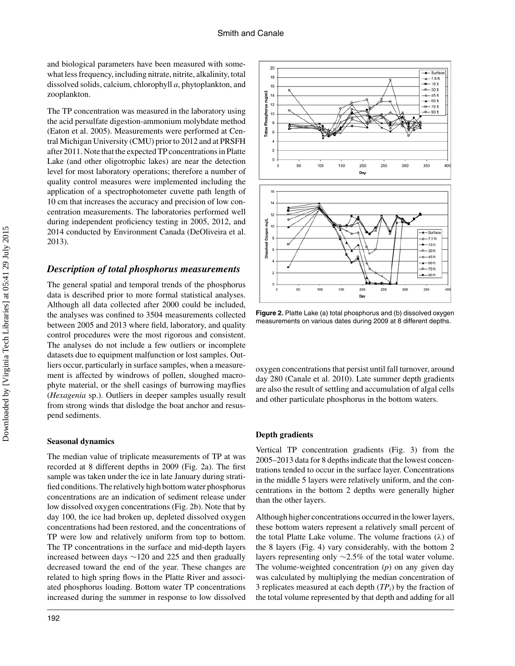and biological parameters have been measured with somewhat less frequency, including nitrate, nitrite, alkalinity, total dissolved solids, calcium, chlorophyll *a*, phytoplankton, and zooplankton.

The TP concentration was measured in the laboratory using the acid persulfate digestion-ammonium molybdate method (Eaton et al. 2005). Measurements were performed at Central Michigan University (CMU) prior to 2012 and at PRSFH after 2011. Note that the expected TP concentrations in Platte Lake (and other oligotrophic lakes) are near the detection level for most laboratory operations; therefore a number of quality control measures were implemented including the application of a spectrophotometer cuvette path length of 10 cm that increases the accuracy and precision of low concentration measurements. The laboratories performed well during independent proficiency testing in 2005, 2012, and 2014 conducted by Environment Canada (DeOliveira et al. 2013).

## *Description of total phosphorus measurements*

The general spatial and temporal trends of the phosphorus data is described prior to more formal statistical analyses. Although all data collected after 2000 could be included, the analyses was confined to 3504 measurements collected between 2005 and 2013 where field, laboratory, and quality control procedures were the most rigorous and consistent. The analyses do not include a few outliers or incomplete datasets due to equipment malfunction or lost samples. Outliers occur, particularly in surface samples, when a measurement is affected by windrows of pollen, sloughed macrophyte material, or the shell casings of burrowing mayflies (*Hexagenia* sp.). Outliers in deeper samples usually result from strong winds that dislodge the boat anchor and resuspend sediments.

#### **Seasonal dynamics**

The median value of triplicate measurements of TP at was recorded at 8 different depths in 2009 (Fig. 2a). The first sample was taken under the ice in late January during stratified conditions. The relatively high bottom water phosphorus concentrations are an indication of sediment release under low dissolved oxygen concentrations (Fig. 2b). Note that by day 100, the ice had broken up, depleted dissolved oxygen concentrations had been restored, and the concentrations of TP were low and relatively uniform from top to bottom. The TP concentrations in the surface and mid-depth layers increased between days ∼120 and 225 and then gradually decreased toward the end of the year. These changes are related to high spring flows in the Platte River and associated phosphorus loading. Bottom water TP concentrations increased during the summer in response to low dissolved



**Figure 2.** Platte Lake (a) total phosphorus and (b) dissolved oxygen measurements on various dates during 2009 at 8 different depths.

oxygen concentrations that persist until fall turnover, around day 280 (Canale et al. 2010). Late summer depth gradients are also the result of settling and accumulation of algal cells and other particulate phosphorus in the bottom waters.

#### **Depth gradients**

Vertical TP concentration gradients (Fig. 3) from the 2005–2013 data for 8 depths indicate that the lowest concentrations tended to occur in the surface layer. Concentrations in the middle 5 layers were relatively uniform, and the concentrations in the bottom 2 depths were generally higher than the other layers.

Although higher concentrations occurred in the lower layers, these bottom waters represent a relatively small percent of the total Platte Lake volume. The volume fractions (*λ*) of the 8 layers (Fig. 4) vary considerably, with the bottom 2 layers representing only ∼2.5% of the total water volume. The volume-weighted concentration (*p*) on any given day was calculated by multiplying the median concentration of 3 replicates measured at each depth (*TPi*) by the fraction of the total volume represented by that depth and adding for all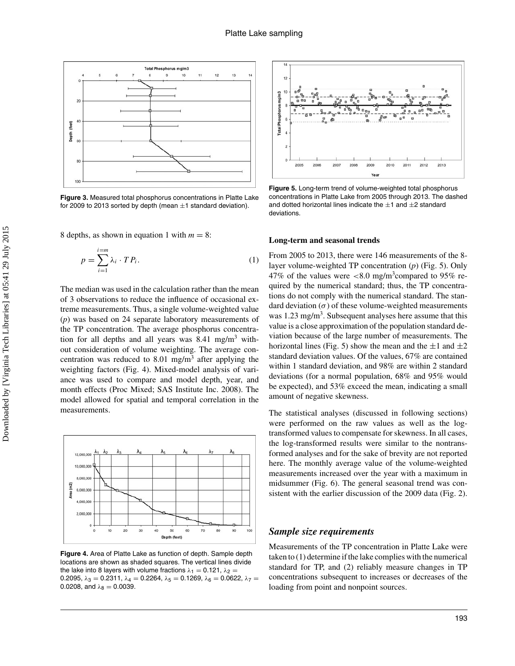

**Figure 3.** Measured total phosphorus concentrations in Platte Lake for 2009 to 2013 sorted by depth (mean  $\pm 1$  standard deviation).

8 depths, as shown in equation 1 with  $m = 8$ :

$$
p = \sum_{i=1}^{i=m} \lambda_i \cdot T P_i.
$$
 (1)

The median was used in the calculation rather than the mean of 3 observations to reduce the influence of occasional extreme measurements. Thus, a single volume-weighted value (*p*) was based on 24 separate laboratory measurements of the TP concentration. The average phosphorus concentration for all depths and all years was  $8.41 \text{ mg/m}^3$  without consideration of volume weighting. The average concentration was reduced to 8.01 mg/m<sup>3</sup> after applying the weighting factors (Fig. 4). Mixed-model analysis of variance was used to compare and model depth, year, and month effects (Proc Mixed; SAS Institute Inc. 2008). The model allowed for spatial and temporal correlation in the measurements.



**Figure 4.** Area of Platte Lake as function of depth. Sample depth locations are shown as shaded squares. The vertical lines divide the lake into 8 layers with volume fractions  $\lambda_1 = 0.121$ ,  $\lambda_2 =$ 0.2095, *<sup>λ</sup>*<sup>3</sup> <sup>=</sup> 0.2311, *<sup>λ</sup>*<sup>4</sup> <sup>=</sup> 0.2264, *<sup>λ</sup>*<sup>5</sup> <sup>=</sup> 0.1269, *<sup>λ</sup>*<sup>6</sup> <sup>=</sup> 0.0622, *<sup>λ</sup>*<sup>7</sup> <sup>=</sup> 0.0208, and  $\lambda_8 = 0.0039$ .



**Figure 5.** Long-term trend of volume-weighted total phosphorus concentrations in Platte Lake from 2005 through 2013. The dashed and dotted horizontal lines indicate the  $\pm 1$  and  $\pm 2$  standard deviations.

#### **Long-term and seasonal trends**

From 2005 to 2013, there were 146 measurements of the 8 layer volume-weighted TP concentration (*p*) (Fig. 5). Only 47% of the values were *<*8.0 mg/m3 compared to 95% required by the numerical standard; thus, the TP concentrations do not comply with the numerical standard. The standard deviation  $(\sigma)$  of these volume-weighted measurements was 1.23 mg/m<sup>3</sup>. Subsequent analyses here assume that this value is a close approximation of the population standard deviation because of the large number of measurements. The horizontal lines (Fig. 5) show the mean and the  $\pm 1$  and  $\pm 2$ standard deviation values. Of the values, 67% are contained within 1 standard deviation, and 98% are within 2 standard deviations (for a normal population, 68% and 95% would be expected), and 53% exceed the mean, indicating a small amount of negative skewness.

The statistical analyses (discussed in following sections) were performed on the raw values as well as the logtransformed values to compensate for skewness. In all cases, the log-transformed results were similar to the nontransformed analyses and for the sake of brevity are not reported here. The monthly average value of the volume-weighted measurements increased over the year with a maximum in midsummer (Fig. 6). The general seasonal trend was consistent with the earlier discussion of the 2009 data (Fig. 2).

#### *Sample size requirements*

Measurements of the TP concentration in Platte Lake were taken to (1) determine if the lake complies with the numerical standard for TP, and (2) reliably measure changes in TP concentrations subsequent to increases or decreases of the loading from point and nonpoint sources.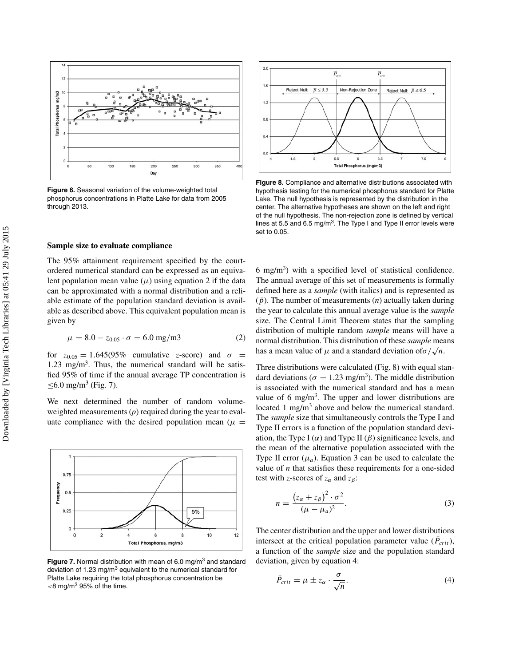

**Figure 6.** Seasonal variation of the volume-weighted total phosphorus concentrations in Platte Lake for data from 2005 through 2013.

#### **Sample size to evaluate compliance**

The 95% attainment requirement specified by the courtordered numerical standard can be expressed as an equivalent population mean value  $(\mu)$  using equation 2 if the data can be approximated with a normal distribution and a reliable estimate of the population standard deviation is available as described above. This equivalent population mean is given by

$$
\mu = 8.0 - z_{0.05} \cdot \sigma = 6.0 \text{ mg/m3}
$$
 (2)

for  $z_{0.05} = 1.645(95\%$  cumulative *z*-score) and  $\sigma =$  $1.23 \text{ mg/m}^3$ . Thus, the numerical standard will be satisfied 95% of time if the annual average TP concentration is  $≤ 6.0$  mg/m<sup>3</sup> (Fig. 7).

We next determined the number of random volumeweighted measurements (*p*) required during the year to evaluate compliance with the desired population mean  $(\mu =$ 



**Figure 7.** Normal distribution with mean of 6.0 mg/m<sup>3</sup> and standard deviation of 1.23 mg/m<sup>3</sup> equivalent to the numerical standard for Platte Lake requiring the total phosphorus concentration be *<*8 mg/m<sup>3</sup> 95% of the time.



**Figure 8.** Compliance and alternative distributions associated with hypothesis testing for the numerical phosphorus standard for Platte Lake. The null hypothesis is represented by the distribution in the center. The alternative hypotheses are shown on the left and right of the null hypothesis. The non-rejection zone is defined by vertical lines at 5.5 and 6.5 mg/m<sup>3</sup>. The Type I and Type II error levels were set to 0.05.

6 mg/m<sup>3</sup>) with a specified level of statistical confidence. The annual average of this set of measurements is formally defined here as a *sample* (with italics) and is represented as  $(\bar{p})$ . The number of measurements  $(n)$  actually taken during the year to calculate this annual average value is the *sample* size. The Central Limit Theorem states that the sampling distribution of multiple random *sample* means will have a normal distribution. This distribution of these *sample* means has a mean value of  $\mu$  and a standard deviation of  $\sigma/\sqrt{n}$ .

Three distributions were calculated (Fig. 8) with equal standard deviations ( $\sigma = 1.23$  mg/m<sup>3</sup>). The middle distribution is associated with the numerical standard and has a mean value of 6 mg/m<sup>3</sup>. The upper and lower distributions are located 1 mg/m<sup>3</sup> above and below the numerical standard. The *sample* size that simultaneously controls the Type I and Type II errors is a function of the population standard deviation, the Type I  $(\alpha)$  and Type II  $(\beta)$  significance levels, and the mean of the alternative population associated with the Type II error  $(\mu_a)$ . Equation 3 can be used to calculate the value of *n* that satisfies these requirements for a one-sided test with *z*-scores of  $z_\alpha$  and  $z_\beta$ :

$$
n = \frac{(z_{\alpha} + z_{\beta})^2 \cdot \sigma^2}{(\mu - \mu_a)^2}.
$$
 (3)

The center distribution and the upper and lower distributions intersect at the critical population parameter value ( $\bar{P}_{crit}$ ), a function of the *sample* size and the population standard deviation, given by equation 4:

$$
\bar{P}_{crit} = \mu \pm z_{\alpha} \cdot \frac{\sigma}{\sqrt{n}}.\tag{4}
$$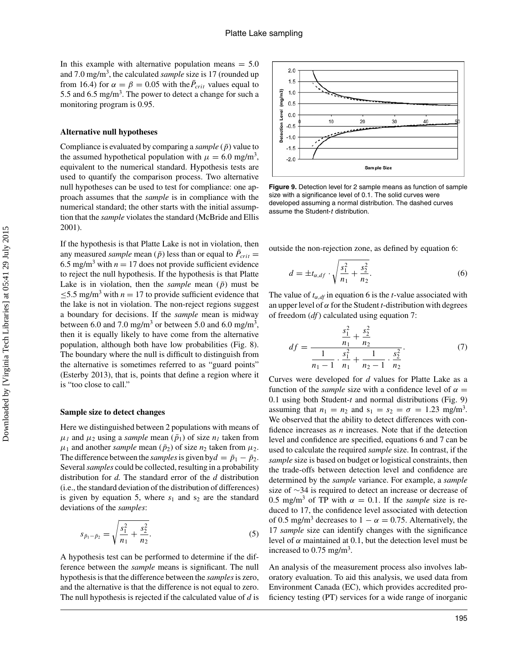In this example with alternative population means  $= 5.0$ and 7.0 mg/m3 , the calculated *sample* size is 17 (rounded up from 16.4) for  $\alpha = \beta = 0.05$  with the  $\bar{P}_{crit}$  values equal to 5.5 and 6.5 mg/m<sup>3</sup>. The power to detect a change for such a monitoring program is 0.95.

#### **Alternative null hypotheses**

Compliance is evaluated by comparing a *sample*  $(\bar{p})$  value to the assumed hypothetical population with  $\mu = 6.0$  mg/m<sup>3</sup>, equivalent to the numerical standard. Hypothesis tests are used to quantify the comparison process. Two alternative null hypotheses can be used to test for compliance: one approach assumes that the *sample* is in compliance with the numerical standard; the other starts with the initial assumption that the *sample* violates the standard (McBride and Ellis 2001).

If the hypothesis is that Platte Lake is not in violation, then any measured *sample* mean ( $\bar{p}$ ) less than or equal to  $\bar{P}_{crit}$  = 6.5 mg/m<sup>3</sup> with  $n = 17$  does not provide sufficient evidence to reject the null hypothesis. If the hypothesis is that Platte Lake is in violation, then the *sample* mean  $(\bar{p})$  must be  $\leq$ 5.5 mg/m<sup>3</sup> with *n* = 17 to provide sufficient evidence that the lake is not in violation. The non-reject regions suggest a boundary for decisions. If the *sample* mean is midway between 6.0 and 7.0 mg/m<sup>3</sup> or between 5.0 and 6.0 mg/m<sup>3</sup>, then it is equally likely to have come from the alternative population, although both have low probabilities (Fig. 8). The boundary where the null is difficult to distinguish from the alternative is sometimes referred to as "guard points" (Esterby 2013), that is, points that define a region where it is "too close to call."

#### **Sample size to detect changes**

Here we distinguished between 2 populations with means of  $\mu_1$  and  $\mu_2$  using a *sample* mean ( $\bar{p}_1$ ) of size  $n_1$  taken from  $\mu_1$  and another *sample* mean ( $\bar{p}_2$ ) of size  $n_2$  taken from  $\mu_2$ . The difference between the *samples* is given by  $d = \bar{p}_1 - \bar{p}_2$ . Several*samples* could be collected, resulting in a probability distribution for *d.* The standard error of the *d* distribution (i.e., the standard deviation of the distribution of differences) is given by equation 5, where  $s_1$  and  $s_2$  are the standard deviations of the *samples*:

$$
s_{\bar{p}_1 - \bar{p}_2} = \sqrt{\frac{s_1^2}{n_1} + \frac{s_2^2}{n_2}}.
$$
 (5)

A hypothesis test can be performed to determine if the difference between the *sample* means is significant. The null hypothesis is that the difference between the *samples*is zero, and the alternative is that the difference is not equal to zero. The null hypothesis is rejected if the calculated value of *d* is



**Figure 9.** Detection level for 2 sample means as function of sample size with a significance level of 0.1. The solid curves were developed assuming a normal distribution. The dashed curves assume the Student-*t* distribution.

outside the non-rejection zone, as defined by equation 6:

$$
d = \pm t_{\alpha, df} \cdot \sqrt{\frac{s_1^2}{n_1} + \frac{s_2^2}{n_2}}.
$$
 (6)

The value of  $t_{\alpha, df}$  in equation 6 is the *t*-value associated with an upper level of *α* for the Student *t*-distribution with degrees of freedom (*df*) calculated using equation 7:

$$
df = \frac{\frac{s_1^2}{n_1} + \frac{s_2^2}{n_2}}{\frac{1}{n_1 - 1} \cdot \frac{s_1^2}{n_1} + \frac{1}{n_2 - 1} \cdot \frac{s_2^2}{n_2}}.
$$
 (7)

Curves were developed for *d* values for Platte Lake as a function of the *sample* size with a confidence level of  $\alpha$  = 0.1 using both Student-*t* and normal distributions (Fig. 9) assuming that  $n_1 = n_2$  and  $s_1 = s_2 = \sigma = 1.23$  mg/m<sup>3</sup>. We observed that the ability to detect differences with confidence increases as *n* increases. Note that if the detection level and confidence are specified, equations 6 and 7 can be used to calculate the required *sample* size. In contrast, if the *sample* size is based on budget or logistical constraints, then the trade-offs between detection level and confidence are determined by the *sample* variance. For example, a *sample* size of ∼34 is required to detect an increase or decrease of 0.5 mg/m<sup>3</sup> of TP with  $\alpha = 0.1$ . If the *sample* size is reduced to 17, the confidence level associated with detection of 0.5 mg/m<sup>3</sup> decreases to  $1 - \alpha = 0.75$ . Alternatively, the 17 *sample* size can identify changes with the significance level of  $\alpha$  maintained at 0.1, but the detection level must be increased to  $0.75$  mg/m<sup>3</sup>.

An analysis of the measurement process also involves laboratory evaluation. To aid this analysis, we used data from Environment Canada (EC), which provides accredited proficiency testing (PT) services for a wide range of inorganic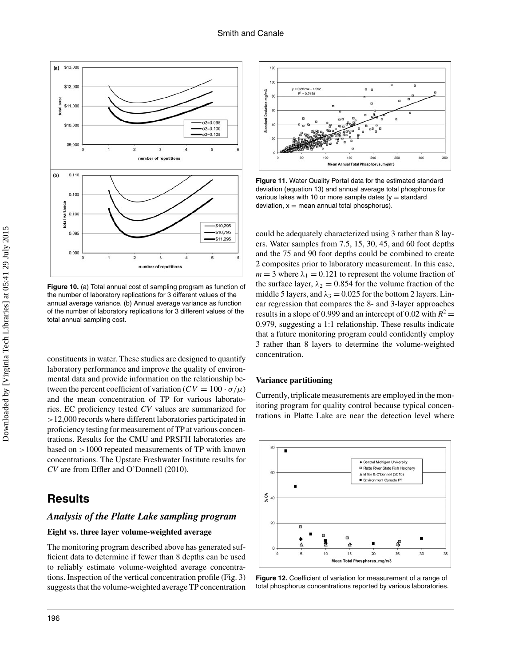

**Figure 10.** (a) Total annual cost of sampling program as function of the number of laboratory replications for 3 different values of the annual average variance. (b) Annual average variance as function of the number of laboratory replications for 3 different values of the total annual sampling cost.

constituents in water. These studies are designed to quantify laboratory performance and improve the quality of environmental data and provide information on the relationship between the percent coefficient of variation ( $CV = 100 \cdot \sigma/\mu$ ) and the mean concentration of TP for various laboratories. EC proficiency tested *CV* values are summarized for *>*12,000 records where different laboratories participated in proficiency testing for measurement of TP at various concentrations. Results for the CMU and PRSFH laboratories are based on *>*1000 repeated measurements of TP with known concentrations. The Upstate Freshwater Institute results for *CV* are from Effler and O'Donnell (2010).

## **Results**

### *Analysis of the Platte Lake sampling program*

#### **Eight vs. three layer volume-weighted average**

The monitoring program described above has generated sufficient data to determine if fewer than 8 depths can be used to reliably estimate volume-weighted average concentrations. Inspection of the vertical concentration profile (Fig. 3) suggests that the volume-weighted average TP concentration



**Figure 11.** Water Quality Portal data for the estimated standard deviation (equation 13) and annual average total phosphorus for various lakes with 10 or more sample dates ( $y =$  standard deviation,  $x =$  mean annual total phosphorus).

could be adequately characterized using 3 rather than 8 layers. Water samples from 7.5, 15, 30, 45, and 60 foot depths and the 75 and 90 foot depths could be combined to create 2 composites prior to laboratory measurement. In this case,  $m = 3$  where  $\lambda_1 = 0.121$  to represent the volume fraction of the surface layer,  $\lambda_2 = 0.854$  for the volume fraction of the middle 5 layers, and  $\lambda_3 = 0.025$  for the bottom 2 layers. Linear regression that compares the 8- and 3-layer approaches results in a slope of 0.999 and an intercept of 0.02 with  $R^2$  = 0.979, suggesting a 1:1 relationship. These results indicate that a future monitoring program could confidently employ 3 rather than 8 layers to determine the volume-weighted concentration.

#### **Variance partitioning**

Currently, triplicate measurements are employed in the monitoring program for quality control because typical concentrations in Platte Lake are near the detection level where



**Figure 12.** Coefficient of variation for measurement of a range of total phosphorus concentrations reported by various laboratories.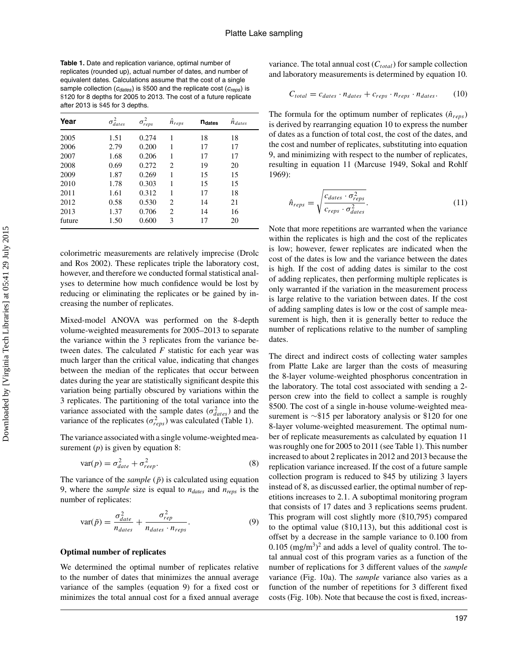**Table 1.** Date and replication variance, optimal number of replicates (rounded up), actual number of dates, and number of equivalent dates. Calculations assume that the cost of a single sample collection ( $c_{\text{dates}}$ ) is \$500 and the replicate cost ( $c_{\text{reps}}$ ) is \$120 for 8 depths for 2005 to 2013. The cost of a future replicate after 2013 is \$45 for 3 depths.

| Year   | $\sigma_{dates}^2$ | $\sigma^2_{reps}$ | $\hat{n}_{reps}$ | $n_{\text{dates}}$ | $\hat{n}_{dates}$ |  |
|--------|--------------------|-------------------|------------------|--------------------|-------------------|--|
| 2005   | 1.51               | 0.274             | 1                | 18                 | 18                |  |
| 2006   | 2.79               | 0.200             | 1                | 17                 | 17                |  |
| 2007   | 1.68               | 0.206             | 1                | 17                 | 17                |  |
| 2008   | 0.69               | 0.272             | 2                | 19                 | 20                |  |
| 2009   | 1.87               | 0.269             | 1                | 15                 | 15                |  |
| 2010   | 1.78               | 0.303             | 1                | 15                 | 15                |  |
| 2011   | 1.61               | 0.312             | 1                | 17                 | 18                |  |
| 2012   | 0.58               | 0.530             | 2                | 14                 | 21                |  |
| 2013   | 1.37               | 0.706             | $\overline{c}$   | 14                 | 16                |  |
| future | 1.50               | 0.600             | 3                | 17                 | 20                |  |

colorimetric measurements are relatively imprecise (Drolc and Ros 2002). These replicates triple the laboratory cost, however, and therefore we conducted formal statistical analyses to determine how much confidence would be lost by reducing or eliminating the replicates or be gained by increasing the number of replicates.

Mixed-model ANOVA was performed on the 8-depth volume-weighted measurements for 2005–2013 to separate the variance within the 3 replicates from the variance between dates. The calculated *F* statistic for each year was much larger than the critical value, indicating that changes between the median of the replicates that occur between dates during the year are statistically significant despite this variation being partially obscured by variations within the 3 replicates. The partitioning of the total variance into the variance associated with the sample dates  $(\sigma_{dates}^2)$  and the variance of the replicates  $(\sigma_{reps}^2)$  was calculated (Table 1).

The variance associated with a single volume-weighted measurement (*p*) is given by equation 8:

$$
var(p) = \sigma_{date}^2 + \sigma_{reep}^2.
$$
 (8)

The variance of the *sample*  $(\bar{p})$  is calculated using equation 9, where the *sample* size is equal to *ndates* and *nreps* is the number of replicates:

$$
\text{var}(\bar{p}) = \frac{\sigma_{date}^2}{n_{dates}} + \frac{\sigma_{rep}^2}{n_{dates} \cdot n_{reps}}.\tag{9}
$$

#### **Optimal number of replicates**

We determined the optimal number of replicates relative to the number of dates that minimizes the annual average variance of the samples (equation 9) for a fixed cost or minimizes the total annual cost for a fixed annual average variance. The total annual cost (*C<sub>total</sub>*) for sample collection and laboratory measurements is determined by equation 10.

$$
C_{total} = c_{dates} \cdot n_{dates} + c_{reps} \cdot n_{reps} \cdot n_{dates}. \tag{10}
$$

The formula for the optimum number of replicates  $(\hat{n}_{regs})$ is derived by rearranging equation 10 to express the number of dates as a function of total cost, the cost of the dates, and the cost and number of replicates, substituting into equation 9, and minimizing with respect to the number of replicates, resulting in equation 11 (Marcuse 1949, Sokal and Rohlf 1969):

$$
\hat{n}_{reps} = \sqrt{\frac{c_{dates} \cdot \sigma_{reps}^2}{c_{reps} \cdot \sigma_{dates}^2}}.
$$
\n(11)

Note that more repetitions are warranted when the variance within the replicates is high and the cost of the replicates is low; however, fewer replicates are indicated when the cost of the dates is low and the variance between the dates is high. If the cost of adding dates is similar to the cost of adding replicates, then performing multiple replicates is only warranted if the variation in the measurement process is large relative to the variation between dates. If the cost of adding sampling dates is low or the cost of sample measurement is high, then it is generally better to reduce the number of replications relative to the number of sampling dates.

The direct and indirect costs of collecting water samples from Platte Lake are larger than the costs of measuring the 8-layer volume-weighted phosphorus concentration in the laboratory. The total cost associated with sending a 2 person crew into the field to collect a sample is roughly \$500. The cost of a single in-house volume-weighted measurement is ∼\$15 per laboratory analysis or \$120 for one 8-layer volume-weighted measurement. The optimal number of replicate measurements as calculated by equation 11 was roughly one for 2005 to 2011 (see Table 1). This number increased to about 2 replicates in 2012 and 2013 because the replication variance increased. If the cost of a future sample collection program is reduced to \$45 by utilizing 3 layers instead of 8, as discussed earlier, the optimal number of repetitions increases to 2.1. A suboptimal monitoring program that consists of 17 dates and 3 replications seems prudent. This program will cost slightly more (\$10,795) compared to the optimal value (\$10,113), but this additional cost is offset by a decrease in the sample variance to 0.100 from  $0.105$  (mg/m<sup>3</sup>)<sup>2</sup> and adds a level of quality control. The total annual cost of this program varies as a function of the number of replications for 3 different values of the *sample* variance (Fig. 10a). The *sample* variance also varies as a function of the number of repetitions for 3 different fixed costs (Fig. 10b). Note that because the cost is fixed, increas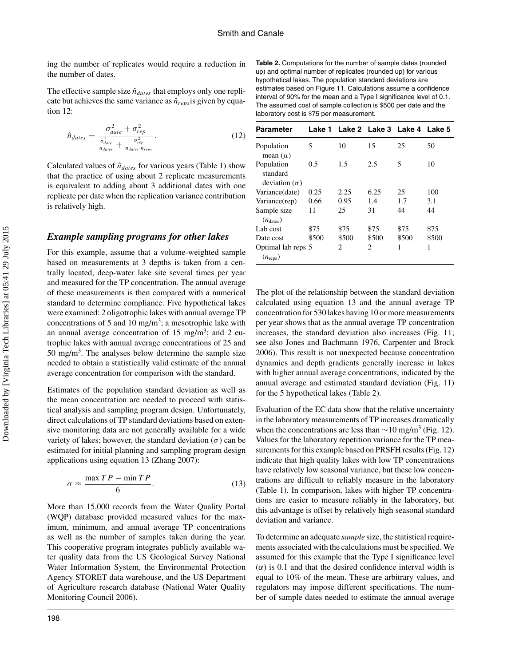ing the number of replicates would require a reduction in the number of dates.

The effective sample size  $\hat{n}_{\text{dates}}$  that employs only one replicate but achieves the same variance as  $\hat{n}_{reps}$  is given by equation 12:

$$
\hat{n}_{dates} = \frac{\sigma_{date}^2 + \sigma_{rep}^2}{\frac{\sigma_{date}^2}{n_{dates}} + \frac{\sigma_{rep}^2}{n_{dates} \cdot n_{reps}}}. \tag{12}
$$

Calculated values of  $\hat{n}_{dates}$  for various years (Table 1) show that the practice of using about 2 replicate measurements is equivalent to adding about 3 additional dates with one replicate per date when the replication variance contribution is relatively high.

### *Example sampling programs for other lakes*

For this example, assume that a volume-weighted sample based on measurements at 3 depths is taken from a centrally located, deep-water lake site several times per year and measured for the TP concentration. The annual average of these measurements is then compared with a numerical standard to determine compliance. Five hypothetical lakes were examined: 2 oligotrophic lakes with annual average TP concentrations of 5 and 10 mg/m<sup>3</sup>; a mesotrophic lake with an annual average concentration of  $15 \text{ mg/m}^3$ ; and  $2 \text{ eu-}$ trophic lakes with annual average concentrations of 25 and  $50 \text{ mg/m}^3$ . The analyses below determine the sample size needed to obtain a statistically valid estimate of the annual average concentration for comparison with the standard.

Estimates of the population standard deviation as well as the mean concentration are needed to proceed with statistical analysis and sampling program design. Unfortunately, direct calculations of TP standard deviations based on extensive monitoring data are not generally available for a wide variety of lakes; however, the standard deviation  $(\sigma)$  can be estimated for initial planning and sampling program design applications using equation 13 (Zhang 2007):

$$
\sigma \approx \frac{\max TP - \min TP}{6}.
$$
 (13)

More than 15,000 records from the Water Quality Portal (WQP) database provided measured values for the maximum, minimum, and annual average TP concentrations as well as the number of samples taken during the year. This cooperative program integrates publicly available water quality data from the US Geological Survey National Water Information System, the Environmental Protection Agency STORET data warehouse, and the US Department of Agriculture research database (National Water Quality Monitoring Council 2006).

**Table 2.** Computations for the number of sample dates (rounded up) and optimal number of replicates (rounded up) for various hypothetical lakes. The population standard deviations are estimates based on Figure 11. Calculations assume a confidence interval of 90% for the mean and a Type I significance level of 0.1. The assumed cost of sample collection is \$500 per date and the laboratory cost is \$75 per measurement.

| <b>Parameter</b>                               | Lake 1 |       | Lake 2 Lake 3 Lake 4 |       | <b>Lake 5</b> |
|------------------------------------------------|--------|-------|----------------------|-------|---------------|
| Population<br>mean $(\mu)$                     | 5      | 10    | 15                   | 25    | 50            |
| Population<br>standard<br>deviation $(\sigma)$ | 0.5    | 1.5   | 2.5                  | 5     | 10            |
| Variance(date)                                 | 0.25   | 2.25  | 6.25                 | 25    | 100           |
| Variance(rep)                                  | 0.66   | 0.95  | 1.4                  | 1.7   | 3.1           |
| Sample size<br>$(n_{\text{dates}})$            | 11     | 25    | 31                   | 44    | 44            |
| Lab cost                                       | \$75   | \$75  | \$75                 | \$75  | \$75          |
| Date cost                                      | \$500  | \$500 | \$500                | \$500 | \$500         |
| Optimal lab reps 5<br>$(n_{\text{reps}})$      |        | 2     | 2                    | 1     | 1             |

The plot of the relationship between the standard deviation calculated using equation 13 and the annual average TP concentration for 530 lakes having 10 or more measurements per year shows that as the annual average TP concentration increases, the standard deviation also increases (Fig. 11; see also Jones and Bachmann 1976, Carpenter and Brock 2006). This result is not unexpected because concentration dynamics and depth gradients generally increase in lakes with higher annual average concentrations, indicated by the annual average and estimated standard deviation (Fig. 11) for the 5 hypothetical lakes (Table 2).

Evaluation of the EC data show that the relative uncertainty in the laboratory measurements of TP increases dramatically when the concentrations are less than  $\sim$ 10 mg/m<sup>3</sup> (Fig. 12). Values for the laboratory repetition variance for the TP measurements for this example based on PRSFH results (Fig. 12) indicate that high quality lakes with low TP concentrations have relatively low seasonal variance, but these low concentrations are difficult to reliably measure in the laboratory (Table 1). In comparison, lakes with higher TP concentrations are easier to measure reliably in the laboratory, but this advantage is offset by relatively high seasonal standard deviation and variance.

To determine an adequate *sample* size, the statistical requirements associated with the calculations must be specified. We assumed for this example that the Type I significance level  $(\alpha)$  is 0.1 and that the desired confidence interval width is equal to 10% of the mean. These are arbitrary values, and regulators may impose different specifications. The number of sample dates needed to estimate the annual average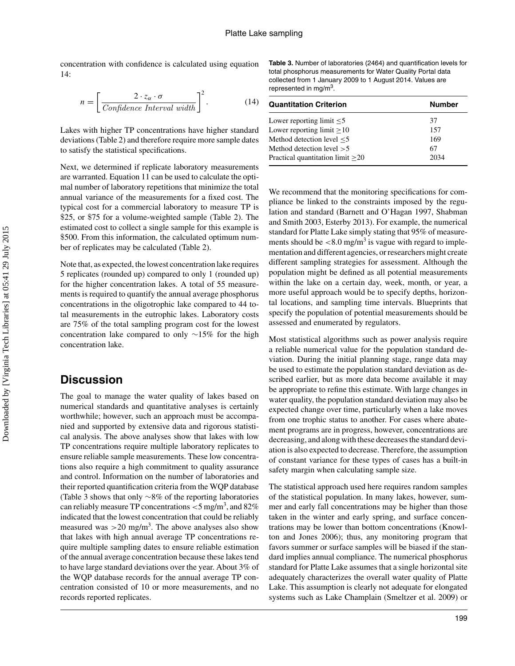concentration with confidence is calculated using equation 14:

$$
n = \left[\frac{2 \cdot z_{\alpha} \cdot \sigma}{Confidence\text{ Interval width}}\right]^{2}.
$$
 (14)

Lakes with higher TP concentrations have higher standard deviations (Table 2) and therefore require more sample dates to satisfy the statistical specifications.

Next, we determined if replicate laboratory measurements are warranted. Equation 11 can be used to calculate the optimal number of laboratory repetitions that minimize the total annual variance of the measurements for a fixed cost. The typical cost for a commercial laboratory to measure TP is \$25, or \$75 for a volume-weighted sample (Table 2). The estimated cost to collect a single sample for this example is \$500. From this information, the calculated optimum number of replicates may be calculated (Table 2).

Note that, as expected, the lowest concentration lake requires 5 replicates (rounded up) compared to only 1 (rounded up) for the higher concentration lakes. A total of 55 measurements is required to quantify the annual average phosphorus concentrations in the oligotrophic lake compared to 44 total measurements in the eutrophic lakes. Laboratory costs are 75% of the total sampling program cost for the lowest concentration lake compared to only ∼15% for the high concentration lake.

## **Discussion**

The goal to manage the water quality of lakes based on numerical standards and quantitative analyses is certainly worthwhile; however, such an approach must be accompanied and supported by extensive data and rigorous statistical analysis. The above analyses show that lakes with low TP concentrations require multiple laboratory replicates to ensure reliable sample measurements. These low concentrations also require a high commitment to quality assurance and control. Information on the number of laboratories and their reported quantification criteria from the WQP database (Table 3 shows that only ∼8% of the reporting laboratories can reliably measure TP concentrations *<*5 mg/m3 , and 82% indicated that the lowest concentration that could be reliably measured was  $>$  20 mg/m<sup>3</sup>. The above analyses also show that lakes with high annual average TP concentrations require multiple sampling dates to ensure reliable estimation of the annual average concentration because these lakes tend to have large standard deviations over the year. About 3% of the WQP database records for the annual average TP concentration consisted of 10 or more measurements, and no records reported replicates.

**Table 3.** Number of laboratories (2464) and quantification levels for total phosphorus measurements for Water Quality Portal data collected from 1 January 2009 to 1 August 2014. Values are represented in mg/m<sup>3</sup>.

| <b>Quantitation Criterion</b>      | <b>Number</b> |  |  |
|------------------------------------|---------------|--|--|
| Lower reporting limit $<$ 5        | 37            |  |  |
| Lower reporting limit $>10$        | 157           |  |  |
| Method detection level $\leq$ 5    | 169           |  |  |
| Method detection level $>5$        | 67            |  |  |
| Practical quantitation limit $>20$ | 2034          |  |  |

We recommend that the monitoring specifications for compliance be linked to the constraints imposed by the regulation and standard (Barnett and O'Hagan 1997, Shabman and Smith 2003, Esterby 2013). For example, the numerical standard for Platte Lake simply stating that 95% of measurements should be  $\langle 8.0 \text{ mg/m}^3 \rangle$  is vague with regard to implementation and different agencies, or researchers might create different sampling strategies for assessment. Although the population might be defined as all potential measurements within the lake on a certain day, week, month, or year, a more useful approach would be to specify depths, horizontal locations, and sampling time intervals. Blueprints that specify the population of potential measurements should be assessed and enumerated by regulators.

Most statistical algorithms such as power analysis require a reliable numerical value for the population standard deviation. During the initial planning stage, range data may be used to estimate the population standard deviation as described earlier, but as more data become available it may be appropriate to refine this estimate. With large changes in water quality, the population standard deviation may also be expected change over time, particularly when a lake moves from one trophic status to another. For cases where abatement programs are in progress, however, concentrations are decreasing, and along with these decreases the standard deviation is also expected to decrease. Therefore, the assumption of constant variance for these types of cases has a built-in safety margin when calculating sample size.

The statistical approach used here requires random samples of the statistical population. In many lakes, however, summer and early fall concentrations may be higher than those taken in the winter and early spring, and surface concentrations may be lower than bottom concentrations (Knowlton and Jones 2006); thus, any monitoring program that favors summer or surface samples will be biased if the standard implies annual compliance. The numerical phosphorus standard for Platte Lake assumes that a single horizontal site adequately characterizes the overall water quality of Platte Lake. This assumption is clearly not adequate for elongated systems such as Lake Champlain (Smeltzer et al. 2009) or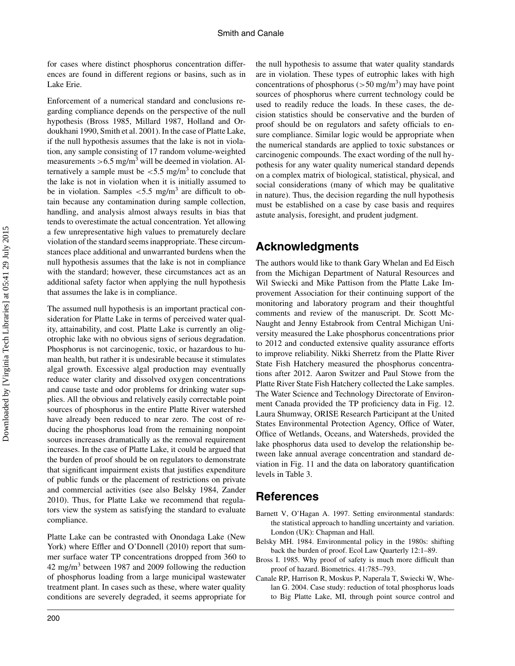for cases where distinct phosphorus concentration differences are found in different regions or basins, such as in Lake Erie.

Enforcement of a numerical standard and conclusions regarding compliance depends on the perspective of the null hypothesis (Bross 1985, Millard 1987, Holland and Ordoukhani 1990, Smith et al. 2001). In the case of Platte Lake, if the null hypothesis assumes that the lake is not in violation, any sample consisting of 17 random volume-weighted measurements  $> 6.5$  mg/m<sup>3</sup> will be deemed in violation. Alternatively a sample must be  $\langle 5.5 \text{ mg/m}^3 \rangle$  to conclude that the lake is not in violation when it is initially assumed to be in violation. Samples  $\langle 5.5 \text{ mg/m}^3 \rangle$  are difficult to obtain because any contamination during sample collection, handling, and analysis almost always results in bias that tends to overestimate the actual concentration. Yet allowing a few unrepresentative high values to prematurely declare violation of the standard seems inappropriate. These circumstances place additional and unwarranted burdens when the null hypothesis assumes that the lake is not in compliance with the standard; however, these circumstances act as an additional safety factor when applying the null hypothesis that assumes the lake is in compliance.

The assumed null hypothesis is an important practical consideration for Platte Lake in terms of perceived water quality, attainability, and cost. Platte Lake is currently an oligotrophic lake with no obvious signs of serious degradation. Phosphorus is not carcinogenic, toxic, or hazardous to human health, but rather it is undesirable because it stimulates algal growth. Excessive algal production may eventually reduce water clarity and dissolved oxygen concentrations and cause taste and odor problems for drinking water supplies. All the obvious and relatively easily correctable point sources of phosphorus in the entire Platte River watershed have already been reduced to near zero. The cost of reducing the phosphorus load from the remaining nonpoint sources increases dramatically as the removal requirement increases. In the case of Platte Lake, it could be argued that the burden of proof should be on regulators to demonstrate that significant impairment exists that justifies expenditure of public funds or the placement of restrictions on private and commercial activities (see also Belsky 1984, Zander 2010). Thus, for Platte Lake we recommend that regulators view the system as satisfying the standard to evaluate compliance.

Platte Lake can be contrasted with Onondaga Lake (New York) where Effler and O'Donnell (2010) report that summer surface water TP concentrations dropped from 360 to 42 mg/m3 between 1987 and 2009 following the reduction of phosphorus loading from a large municipal wastewater treatment plant. In cases such as these, where water quality conditions are severely degraded, it seems appropriate for

the null hypothesis to assume that water quality standards are in violation. These types of eutrophic lakes with high concentrations of phosphorus (*>*50 mg/m3 ) may have point sources of phosphorus where current technology could be used to readily reduce the loads. In these cases, the decision statistics should be conservative and the burden of proof should be on regulators and safety officials to ensure compliance. Similar logic would be appropriate when the numerical standards are applied to toxic substances or carcinogenic compounds. The exact wording of the null hypothesis for any water quality numerical standard depends on a complex matrix of biological, statistical, physical, and social considerations (many of which may be qualitative in nature). Thus, the decision regarding the null hypothesis must be established on a case by case basis and requires astute analysis, foresight, and prudent judgment.

# **Acknowledgments**

The authors would like to thank Gary Whelan and Ed Eisch from the Michigan Department of Natural Resources and Wil Swiecki and Mike Pattison from the Platte Lake Improvement Association for their continuing support of the monitoring and laboratory program and their thoughtful comments and review of the manuscript. Dr. Scott Mc-Naught and Jenny Estabrook from Central Michigan University measured the Lake phosphorus concentrations prior to 2012 and conducted extensive quality assurance efforts to improve reliability. Nikki Sherretz from the Platte River State Fish Hatchery measured the phosphorus concentrations after 2012. Aaron Switzer and Paul Stowe from the Platte River State Fish Hatchery collected the Lake samples. The Water Science and Technology Directorate of Environment Canada provided the TP proficiency data in Fig. 12. Laura Shumway, ORISE Research Participant at the United States Environmental Protection Agency, Office of Water, Office of Wetlands, Oceans, and Watersheds, provided the lake phosphorus data used to develop the relationship between lake annual average concentration and standard deviation in Fig. 11 and the data on laboratory quantification levels in Table 3.

# **References**

- Barnett V, O'Hagan A. 1997. Setting environmental standards: the statistical approach to handling uncertainty and variation. London (UK): Chapman and Hall.
- Belsky MH. 1984. Environmental policy in the 1980s: shifting back the burden of proof. Ecol Law Quarterly 12:1–89.
- Bross I. 1985. Why proof of safety is much more difficult than proof of hazard. Biometrics. 41:785–793.
- Canale RP, Harrison R, Moskus P, Naperala T, Swiecki W, Whelan G. 2004. Case study: reduction of total phosphorus loads to Big Platte Lake, MI, through point source control and